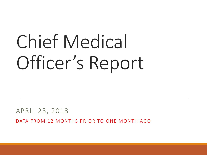# Chief Medical Officer's Report

APRIL 23, 2018 DATA FROM 12 MONTHS PRIOR TO ONE MONTH AGO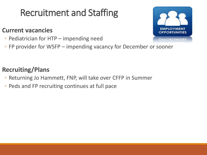## Recruitment and Staffing

#### **Current vacancies**

- Pediatrician for HTP impending need
- FP provider for WSFP impending vacancy for December or sooner

#### **Recruiting/Plans**

- Returning Jo Hammett, FNP, will take over CFFP in Summer
- Peds and FP recruiting continues at full pace

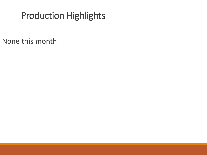### Production Highlights

None this month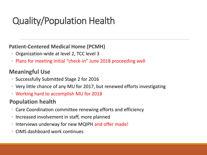# Quality/Population Health

#### **Patient-Centered Medical Home (PCMH)**

- Organization-wide at level 2, TCC level 3
- Plans for meeting initial "check-in" June 2018 proceeding well

#### **Meaningful Use**

- Successfully Submitted Stage 2 for 2016
- Very little chance of any MU for 2017, but renewed efforts investigating
- Working hard to accomplish MU for 2018

#### **Population health**

- Care Coordination committee renewing efforts and efficiency
- Increased involvement in staff, more planned
- Interviews underway for new MQIPH and offer made!
- CIMS dashboard work continues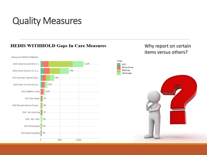#### **HEDIS WITHHOLD Gaps In Care Measures**

Why report on certain items versus others?

Plan

**ATC Blue Cross** Molina

Wellcare

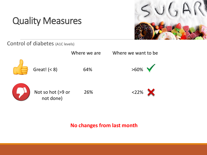

Control of diabetes (A1C levels)



**No changes from last month**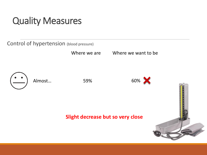Control of hypertension (blood pressure)

Where we are Where we want to be



Almost… 59%

#### **Slight decrease but so very close**

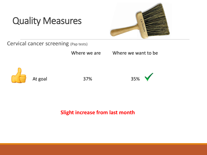

Cervical cancer screening (Pap tests)

Where we are Where we want to be



At goal 37%



**Slight increase from last month**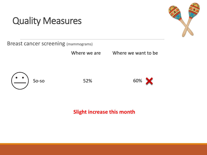

Breast cancer screening (mammograms)

Where we are Where we want to be





**Slight increase this month**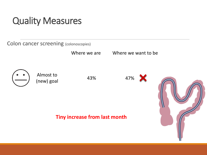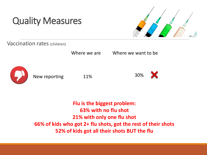

Vaccination rates (children)

Where we are Where we want to be



New reporting 11%



**Flu is the biggest problem: 63% with no flu shot 21% with only one flu shot 66% of kids who got 2+ flu shots, got the rest of their shots 52% of kids got all their shots BUT the flu**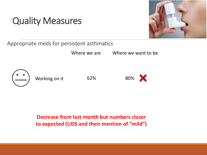

Appropriate meds for persistent asthmatics

Where we are **Where we want to be** 



Working on it 62%



**Decrease from last month but numbers closer to expected (UDS and their mention of "mild")**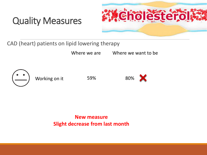

CAD (heart) patients on lipid lowering therapy

Where we are Where we want to be



Working on it 59%



**New measure Slight decrease from last month**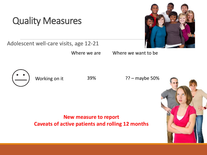Adolescent well-care visits, age 12-21

Where we are Where we want to be



Working on it 39%

?? – maybe 50%

**New measure to report Caveats of active patients and rolling 12 months**



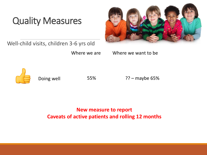

Well-child visits, children 3-6 yrs old

Where we are **Where we want to be** 



Doing well 55%

?? – maybe 65%

**New measure to report Caveats of active patients and rolling 12 months**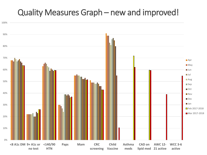#### Quality Measures Graph – new and improved!

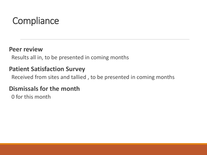### **Compliance**

#### **Peer review**

Results all in, to be presented in coming months

#### **Patient Satisfaction Survey**

Received from sites and tallied , to be presented in coming months

#### **Dismissals for the month**

0 for this month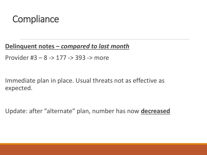

#### **Delinquent notes –** *compared to last month*

Provider #3 – 8 -> 177 -> 393 -> more

Immediate plan in place. Usual threats not as effective as expected.

Update: after "alternate" plan, number has now **decreased**